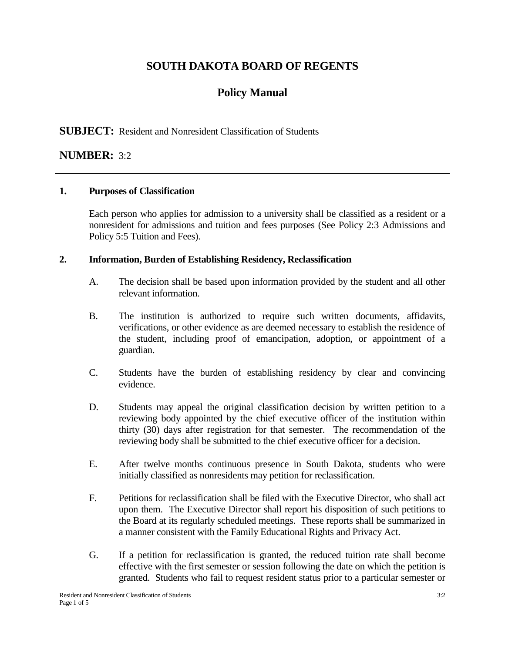# **SOUTH DAKOTA BOARD OF REGENTS**

# **Policy Manual**

## **SUBJECT:** Resident and Nonresident Classification of Students

## **NUMBER:** 3:2

### **1. Purposes of Classification**

Each person who applies for admission to a university shall be classified as a resident or a nonresident for admissions and tuition and fees purposes (See Policy 2:3 Admissions and Policy 5:5 Tuition and Fees).

### **2. Information, Burden of Establishing Residency, Reclassification**

- A. The decision shall be based upon information provided by the student and all other relevant information.
- B. The institution is authorized to require such written documents, affidavits, verifications, or other evidence as are deemed necessary to establish the residence of the student, including proof of emancipation, adoption, or appointment of a guardian.
- C. Students have the burden of establishing residency by clear and convincing evidence.
- D. Students may appeal the original classification decision by written petition to a reviewing body appointed by the chief executive officer of the institution within thirty (30) days after registration for that semester. The recommendation of the reviewing body shall be submitted to the chief executive officer for a decision.
- E. After twelve months continuous presence in South Dakota, students who were initially classified as nonresidents may petition for reclassification.
- F. Petitions for reclassification shall be filed with the Executive Director, who shall act upon them. The Executive Director shall report his disposition of such petitions to the Board at its regularly scheduled meetings. These reports shall be summarized in a manner consistent with the Family Educational Rights and Privacy Act.
- G. If a petition for reclassification is granted, the reduced tuition rate shall become effective with the first semester or session following the date on which the petition is granted. Students who fail to request resident status prior to a particular semester or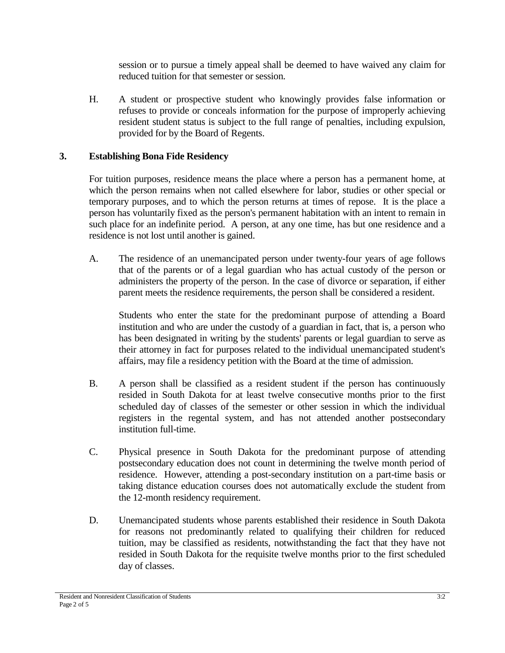session or to pursue a timely appeal shall be deemed to have waived any claim for reduced tuition for that semester or session.

H. A student or prospective student who knowingly provides false information or refuses to provide or conceals information for the purpose of improperly achieving resident student status is subject to the full range of penalties, including expulsion, provided for by the Board of Regents.

### **3. Establishing Bona Fide Residency**

For tuition purposes, residence means the place where a person has a permanent home, at which the person remains when not called elsewhere for labor, studies or other special or temporary purposes, and to which the person returns at times of repose. It is the place a person has voluntarily fixed as the person's permanent habitation with an intent to remain in such place for an indefinite period. A person, at any one time, has but one residence and a residence is not lost until another is gained.

A. The residence of an unemancipated person under twenty-four years of age follows that of the parents or of a legal guardian who has actual custody of the person or administers the property of the person. In the case of divorce or separation, if either parent meets the residence requirements, the person shall be considered a resident.

Students who enter the state for the predominant purpose of attending a Board institution and who are under the custody of a guardian in fact, that is, a person who has been designated in writing by the students' parents or legal guardian to serve as their attorney in fact for purposes related to the individual unemancipated student's affairs, may file a residency petition with the Board at the time of admission.

- B. A person shall be classified as a resident student if the person has continuously resided in South Dakota for at least twelve consecutive months prior to the first scheduled day of classes of the semester or other session in which the individual registers in the regental system, and has not attended another postsecondary institution full-time.
- C. Physical presence in South Dakota for the predominant purpose of attending postsecondary education does not count in determining the twelve month period of residence. However, attending a post-secondary institution on a part-time basis or taking distance education courses does not automatically exclude the student from the 12-month residency requirement.
- D. Unemancipated students whose parents established their residence in South Dakota for reasons not predominantly related to qualifying their children for reduced tuition, may be classified as residents, notwithstanding the fact that they have not resided in South Dakota for the requisite twelve months prior to the first scheduled day of classes.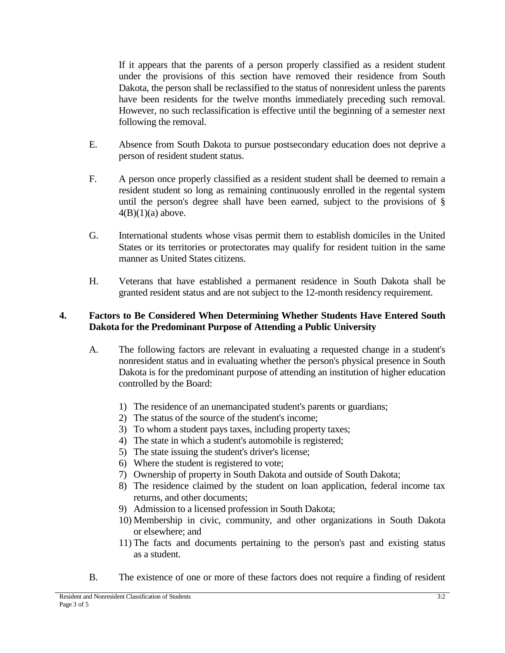If it appears that the parents of a person properly classified as a resident student under the provisions of this section have removed their residence from South Dakota, the person shall be reclassified to the status of nonresident unless the parents have been residents for the twelve months immediately preceding such removal. However, no such reclassification is effective until the beginning of a semester next following the removal.

- E. Absence from South Dakota to pursue postsecondary education does not deprive a person of resident student status.
- F. A person once properly classified as a resident student shall be deemed to remain a resident student so long as remaining continuously enrolled in the regental system until the person's degree shall have been earned, subject to the provisions of §  $4(B)(1)(a)$  above.
- G. International students whose visas permit them to establish domiciles in the United States or its territories or protectorates may qualify for resident tuition in the same manner as United States citizens.
- H. Veterans that have established a permanent residence in South Dakota shall be granted resident status and are not subject to the 12-month residency requirement.

### **4. Factors to Be Considered When Determining Whether Students Have Entered South Dakota for the Predominant Purpose of Attending a Public University**

- A. The following factors are relevant in evaluating a requested change in a student's nonresident status and in evaluating whether the person's physical presence in South Dakota is for the predominant purpose of attending an institution of higher education controlled by the Board:
	- 1) The residence of an unemancipated student's parents or guardians;
	- 2) The status of the source of the student's income;
	- 3) To whom a student pays taxes, including property taxes;
	- 4) The state in which a student's automobile is registered;
	- 5) The state issuing the student's driver's license;
	- 6) Where the student is registered to vote;
	- 7) Ownership of property in South Dakota and outside of South Dakota;
	- 8) The residence claimed by the student on loan application, federal income tax returns, and other documents;
	- 9) Admission to a licensed profession in South Dakota;
	- 10) Membership in civic, community, and other organizations in South Dakota or elsewhere; and
	- 11) The facts and documents pertaining to the person's past and existing status as a student.
- B. The existence of one or more of these factors does not require a finding of resident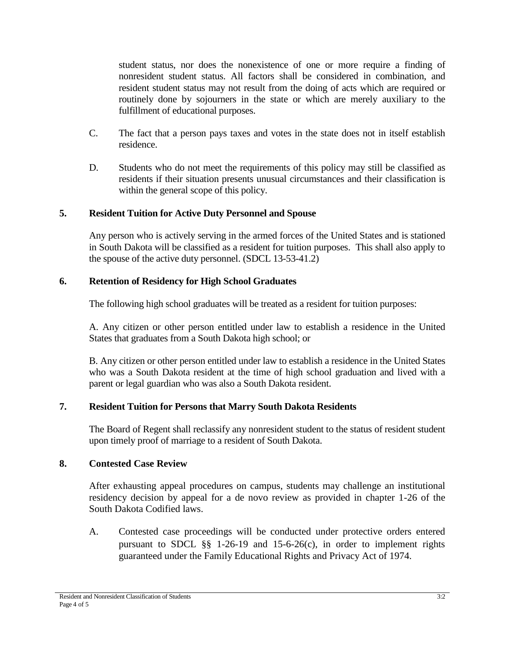student status, nor does the nonexistence of one or more require a finding of nonresident student status. All factors shall be considered in combination, and resident student status may not result from the doing of acts which are required or routinely done by sojourners in the state or which are merely auxiliary to the fulfillment of educational purposes.

- C. The fact that a person pays taxes and votes in the state does not in itself establish residence.
- D. Students who do not meet the requirements of this policy may still be classified as residents if their situation presents unusual circumstances and their classification is within the general scope of this policy.

### **5. Resident Tuition for Active Duty Personnel and Spouse**

Any person who is actively serving in the armed forces of the United States and is stationed in South Dakota will be classified as a resident for tuition purposes. This shall also apply to the spouse of the active duty personnel. (SDCL 13-53-41.2)

### **6. Retention of Residency for High School Graduates**

The following high school graduates will be treated as a resident for tuition purposes:

A. Any citizen or other person entitled under law to establish a residence in the United States that graduates from a South Dakota high school; or

B. Any citizen or other person entitled under law to establish a residence in the United States who was a South Dakota resident at the time of high school graduation and lived with a parent or legal guardian who was also a South Dakota resident.

#### **7. Resident Tuition for Persons that Marry South Dakota Residents**

The Board of Regent shall reclassify any nonresident student to the status of resident student upon timely proof of marriage to a resident of South Dakota.

#### **8. Contested Case Review**

After exhausting appeal procedures on campus, students may challenge an institutional residency decision by appeal for a de novo review as provided in chapter 1-26 of the South Dakota Codified laws.

A. Contested case proceedings will be conducted under protective orders entered pursuant to SDCL §§ 1-26-19 and 15-6-26(c), in order to implement rights guaranteed under the Family Educational Rights and Privacy Act of 1974.